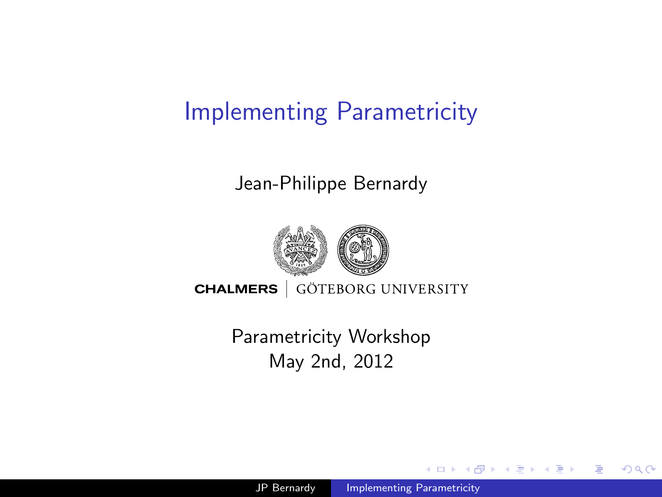# Implementing Parametricity

#### Jean-Philippe Bernardy



**CHALMERS** GÖTEBORG UNIVERSITY

<span id="page-0-0"></span>Parametricity Workshop May 2nd, 2012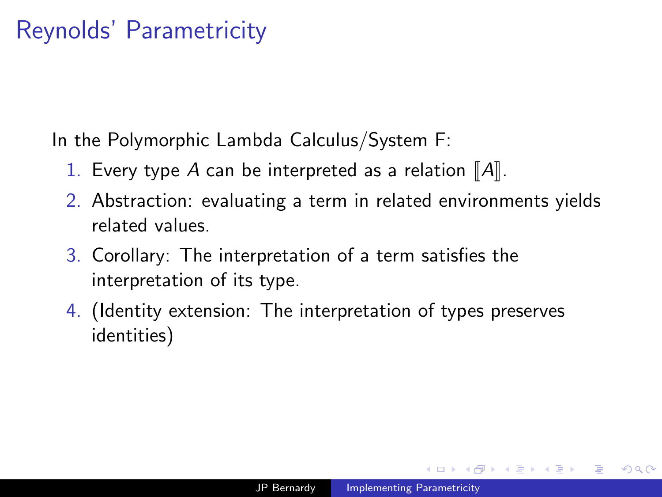#### Reynolds' Parametricity

In the Polymorphic Lambda Calculus/System F:

- 1. Every type A can be interpreted as a relation  $\llbracket A \rrbracket$ .
- 2. Abstraction: evaluating a term in related environments yields related values.
- 3. Corollary: The interpretation of a term satisfies the interpretation of its type.
- 4. (Identity extension: The interpretation of types preserves identities)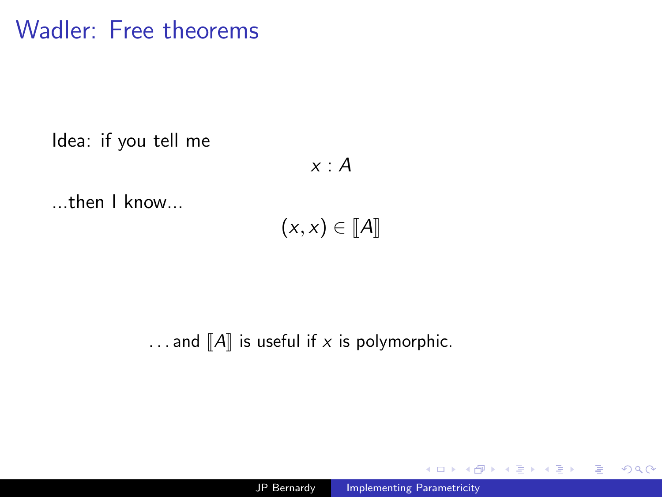#### Wadler: Free theorems

Idea: if you tell me

 $x : A$ 

...then I know...

 $(x, x) \in \llbracket A \rrbracket$ 

... and  $\llbracket A \rrbracket$  is useful if x is polymorphic.

 $299$ 

∍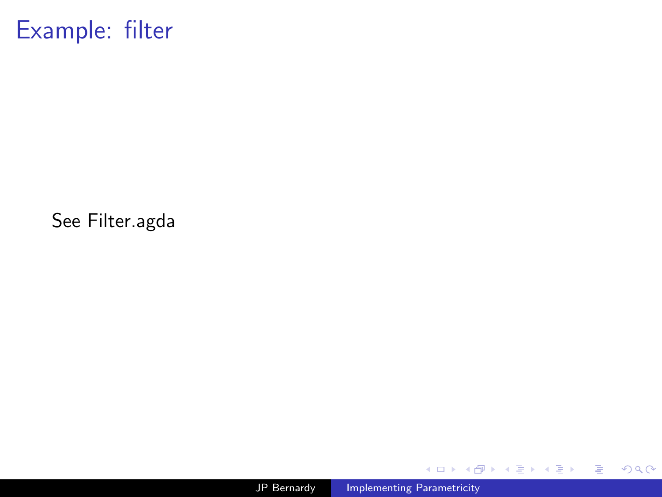Example: filter

See Filter.agda

4日)

伺  $\,$ 一・目  $\,$ 一 ( 語 )

a.

È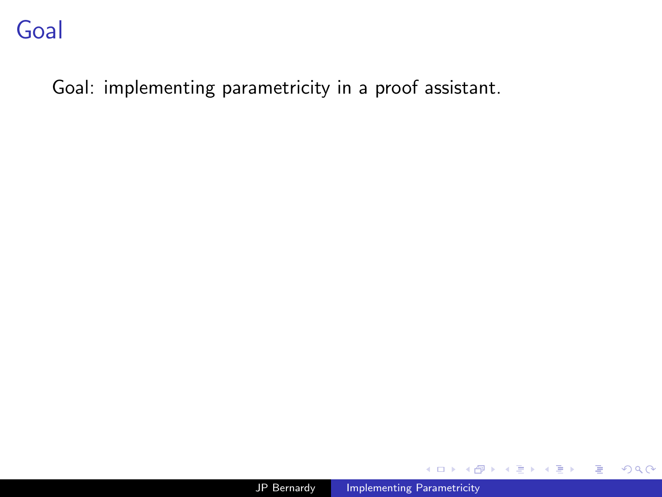Goal: implementing parametricity in a proof assistant.

Ð

 $299$ 

э

э

 $\sim$ 

э

 $\rightarrow$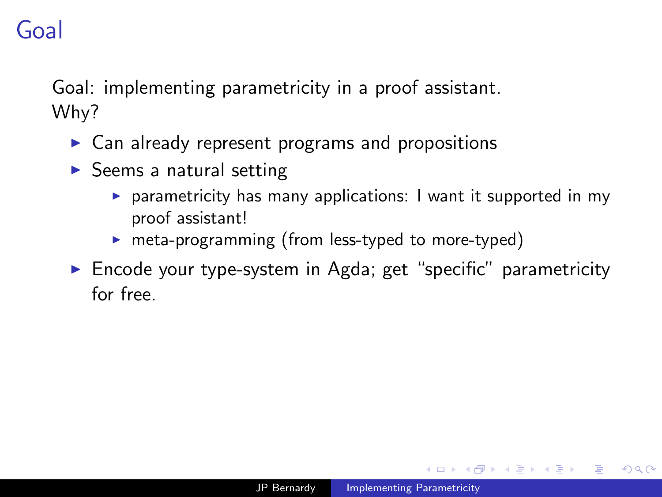# Goal

Goal: implementing parametricity in a proof assistant. Why?

- $\triangleright$  Can already represent programs and propositions
- $\triangleright$  Seems a natural setting
	- $\triangleright$  parametricity has many applications: I want it supported in my proof assistant!
	- $\triangleright$  meta-programming (from less-typed to more-typed)
- $\triangleright$  Encode your type-system in Agda; get "specific" parametricity for free.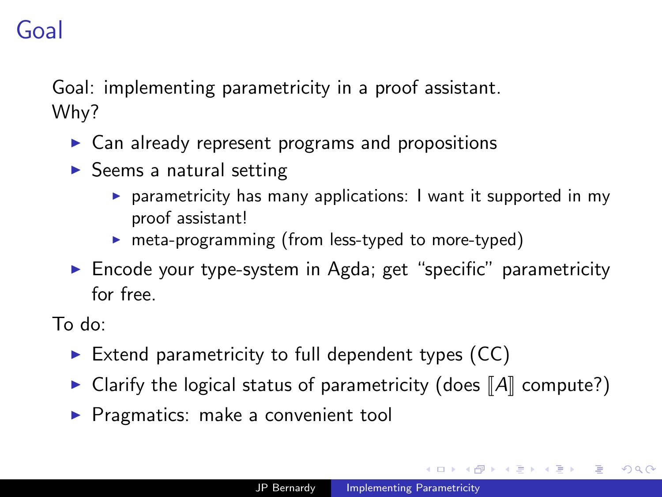# Goal

Goal: implementing parametricity in a proof assistant. Why?

- $\triangleright$  Can already represent programs and propositions
- $\triangleright$  Seems a natural setting
	- $\triangleright$  parametricity has many applications: I want it supported in my proof assistant!
	- $\triangleright$  meta-programming (from less-typed to more-typed)
- $\triangleright$  Encode your type-system in Agda; get "specific" parametricity for free.

To do:

- Extend parametricity to full dependent types  $(CC)$
- $\triangleright$  Clarify the logical status of parametricity (does  $\Vert A \Vert$  compute?)
- $\blacktriangleright$  Pragmatics: make a convenient tool

**NORTH AT A**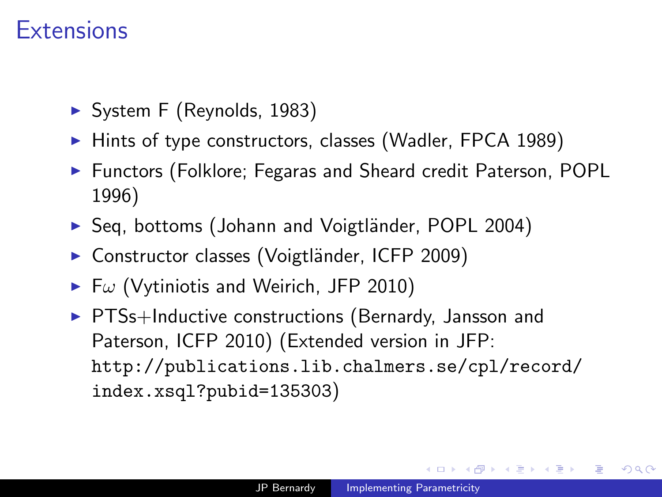#### **Extensions**

- $\triangleright$  System F (Reynolds, 1983)
- $\blacktriangleright$  Hints of type constructors, classes (Wadler, FPCA 1989)
- ▶ Functors (Folklore; Fegaras and Sheard credit Paterson, POPL 1996)
- ▶ Seq, bottoms (Johann and Voigtländer, POPL 2004)
- Constructor classes (Voigtländer, ICFP 2009)
- $\blacktriangleright$  Fw (Vytiniotis and Weirich, JFP 2010)
- $\triangleright$  PTSs+Inductive constructions (Bernardy, Jansson and Paterson, ICFP 2010) (Extended version in JFP: [http://publications.lib.chalmers.se/cpl/record/](http://publications.lib.chalmers.se/cpl/record/index.xsql?pubid=135303) [index.xsql?pubid=135303](http://publications.lib.chalmers.se/cpl/record/index.xsql?pubid=135303))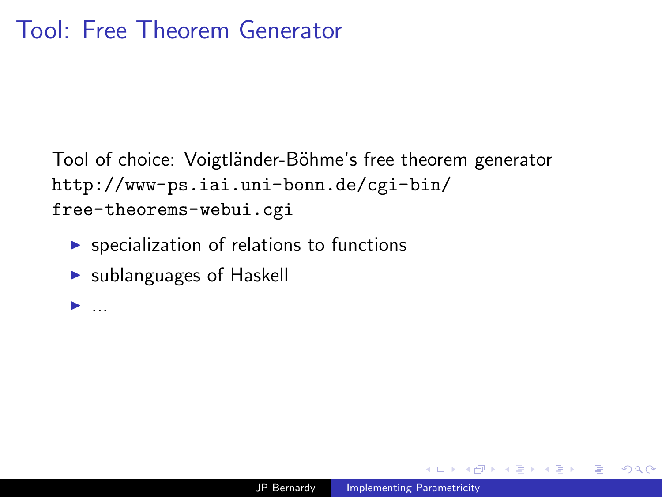Tool of choice: Voigtländer-Böhme's free theorem generator [http://www-ps.iai.uni-bonn.de/cgi-bin/](http://www-ps.iai.uni-bonn.de/cgi-bin/free-theorems-webui.cgi) [free-theorems-webui.cgi](http://www-ps.iai.uni-bonn.de/cgi-bin/free-theorems-webui.cgi)

- $\triangleright$  specialization of relations to functions
- $\triangleright$  sublanguages of Haskell

 $\blacktriangleright$  ...

化重复 化重变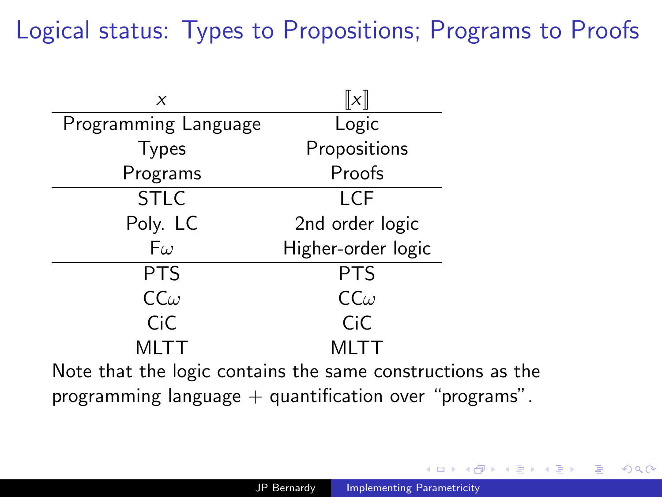# Logical status: Types to Propositions; Programs to Proofs

| X                                                          | $\ x\ $             |  |  |
|------------------------------------------------------------|---------------------|--|--|
| Programming Language                                       | Logic               |  |  |
| <b>Types</b>                                               | Propositions        |  |  |
| Programs                                                   | Proofs              |  |  |
| <b>STLC</b>                                                | LCF                 |  |  |
| Poly. LC                                                   | 2nd order logic     |  |  |
| $F\omega$                                                  | Higher-order logic  |  |  |
| <b>PTS</b>                                                 | <b>PTS</b>          |  |  |
| $CC\omega$                                                 | $\mathsf{CC}\omega$ |  |  |
| CiC                                                        | CiC                 |  |  |
| MLTT                                                       | MLTT                |  |  |
| Note that the logic contains the same constructions as the |                     |  |  |

programming language  $+$  quantification over "programs".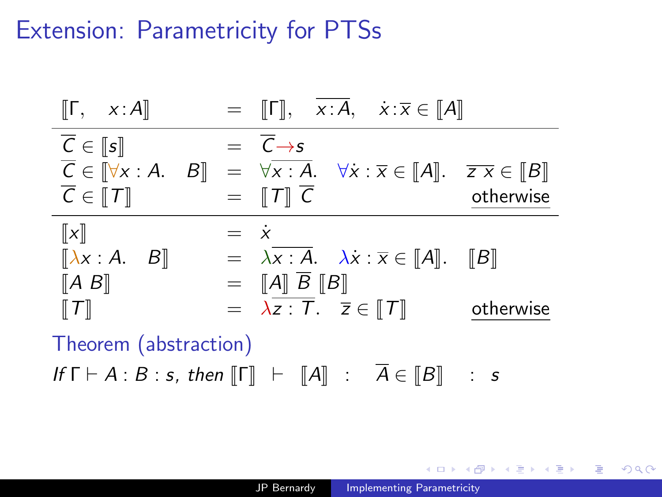#### Extension: Parametricity for PTSs

| $\llbracket \mathsf{\Gamma}, \quad x : \mathsf{A} \rrbracket$ |               | $=$ $\Vert \Gamma \Vert$ , $x:A$ , $\dot{x}:\overline{x} \in \Vert A \Vert$                                                                                                                                        |           |
|---------------------------------------------------------------|---------------|--------------------------------------------------------------------------------------------------------------------------------------------------------------------------------------------------------------------|-----------|
| $\overline{C} \in \llbracket s \rrbracket$                    |               | $= \overline{C} \rightarrow s$                                                                                                                                                                                     |           |
|                                                               |               | $\overline{C} \in \llbracket \forall x:A. \quad B \rrbracket = \forall \overline{x:A}. \quad \forall \overline{x} : \overline{x} \in \llbracket A \rrbracket. \quad \overline{z \, x} \in \llbracket B \rrbracket$ |           |
| $\overline{C} \in \llbracket T \rrbracket$                    |               | $=$ $\Vert T \Vert C$                                                                                                                                                                                              | otherwise |
| $\ x\ $                                                       | $=$ $\dot{x}$ |                                                                                                                                                                                                                    |           |
| $\begin{bmatrix} \lambda x : A & B \end{bmatrix}$             |               | $= \lambda \overline{x : A}$ . $\lambda \overline{x} : \overline{x} \in [A]$ . [B]                                                                                                                                 |           |
| $[A \ B]$                                                     |               | $=$ $\ A\  \overline{B} \ B\ $                                                                                                                                                                                     |           |
| $\llbracket \tau \rrbracket$                                  |               | $= \lambda \overline{z : T}. \quad \overline{z} \in [T]$                                                                                                                                                           | otherwise |
| ___                                                           |               |                                                                                                                                                                                                                    |           |

Theorem (abstraction)

If  $\Gamma \vdash A : B : s$ , then  $\llbracket \Gamma \rrbracket \vdash \llbracket A \rrbracket : \overline{A} \in \llbracket B \rrbracket$  : s

医毛囊 医牙骨下的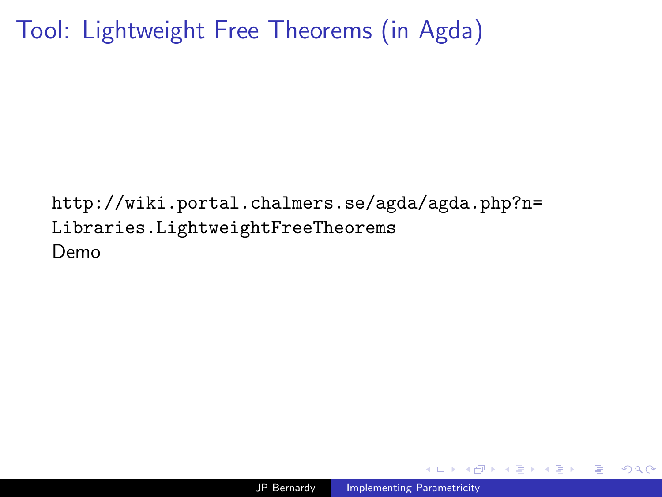Tool: Lightweight Free Theorems (in Agda)

[http://wiki.portal.chalmers.se/agda/agda.php?n=](http://wiki.portal.chalmers.se/agda/agda.php?n=Libraries.LightweightFreeTheorems) [Libraries.LightweightFreeTheorems](http://wiki.portal.chalmers.se/agda/agda.php?n=Libraries.LightweightFreeTheorems) Demo

 $QQ$ 

- 4 重 8 34 重 8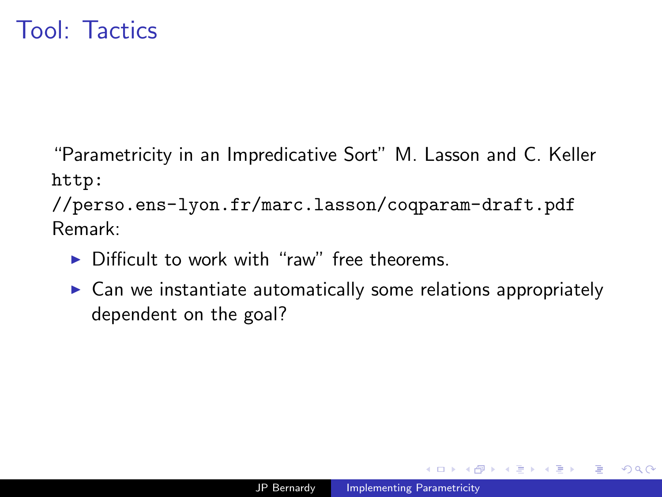"Parametricity in an Impredicative Sort" M. Lasson and C. Keller [http:](http://perso.ens-lyon.fr/marc.lasson/coqparam-draft.pdf)

[//perso.ens-lyon.fr/marc.lasson/coqparam-draft.pdf](http://perso.ens-lyon.fr/marc.lasson/coqparam-draft.pdf) Remark:

- $\triangleright$  Difficult to work with "raw" free theorems.
- $\triangleright$  Can we instantiate automatically some relations appropriately dependent on the goal?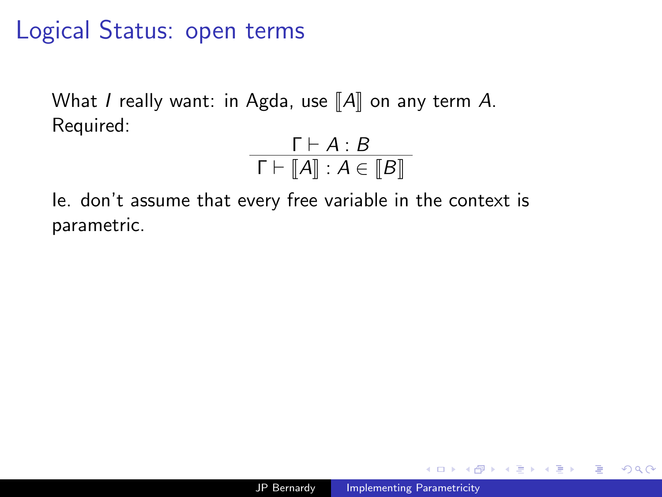# Logical Status: open terms

What I really want: in Agda, use  $\llbracket A \rrbracket$  on any term A. Required:

$$
\frac{\Gamma \vdash A : B}{\Gamma \vdash \llbracket A \rrbracket : A \in \llbracket B \rrbracket}
$$

Ie. don't assume that every free variable in the context is parametric.

化重复 化重变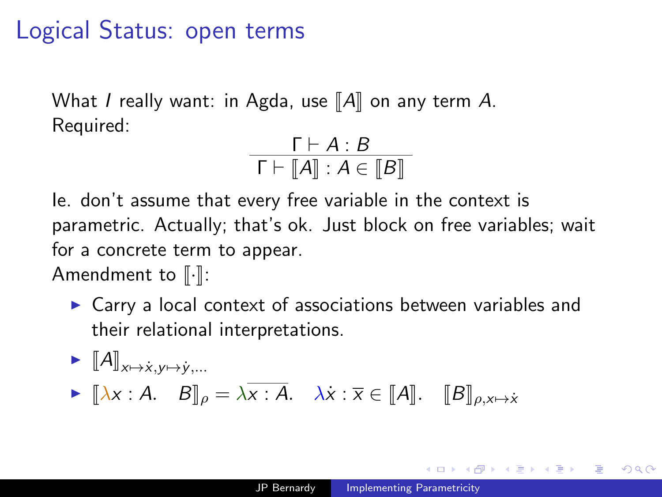## Logical Status: open terms

What I really want: in Agda, use  $\llbracket A \rrbracket$  on any term A. Required:

$$
\frac{\Gamma \vdash A : B}{\Gamma \vdash [A] : A \in [B]}
$$

Ie. don't assume that every free variable in the context is parametric. Actually; that's ok. Just block on free variables; wait for a concrete term to appear.

Amendment to  $\lbrack \cdot \rbrack$ :

 $\triangleright$  Carry a local context of associations between variables and their relational interpretations.

► 
$$
[\![A]\!]_{x \mapsto \dot{x}, y \mapsto \dot{y}, ...}
$$
  
\n▶  $[\![\lambda x : A \quad B]\!]_{\rho} = \lambda \overline{x : A}.$   $\lambda \dot{x} : \overline{x} \in [\![A]\!]$ .  $[\![B]\!]_{\rho, x \mapsto \dot{x}}$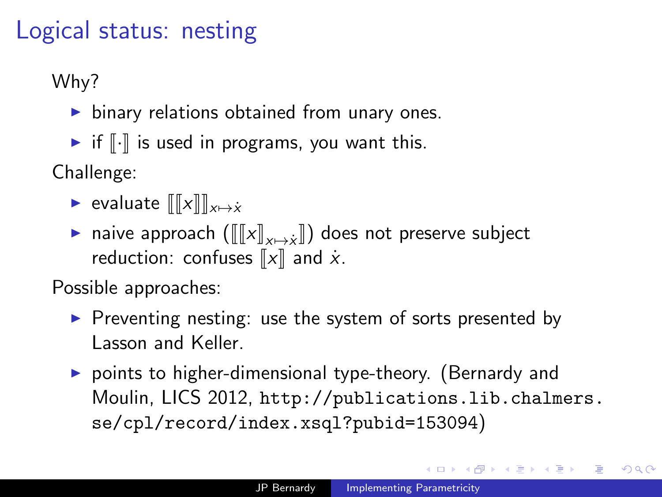## Logical status: nesting

Why?

- $\triangleright$  binary relations obtained from unary ones.
- $\blacktriangleright$  if  $\lbrack\!\lbrack\cdot\rbrack\!\rbrack$  is used in programs, you want this.

Challenge:

- ► evaluate  $\| [x] \|_{x \mapsto \dot{x}}$
- **►** naive approach  $([\![x]\!]_{x\mapsto \dot{x}}])$  does not preserve subject<br>reduction: confuses  $[\![x]\!]$  and  $\dot{x}$ reduction: confuses  $\llbracket x \rrbracket$  and  $\dot{x}$ .

Possible approaches:

- $\triangleright$  Preventing nesting: use the system of sorts presented by Lasson and Keller.
- $\triangleright$  points to higher-dimensional type-theory. (Bernardy and Moulin, LICS 2012, [http://publications.lib.chalmers.](http://publications.lib.chalmers.se/cpl/record/index.xsql?pubid=153094) [se/cpl/record/index.xsql?pubid=153094](http://publications.lib.chalmers.se/cpl/record/index.xsql?pubid=153094))

医阿雷氏阿雷氏征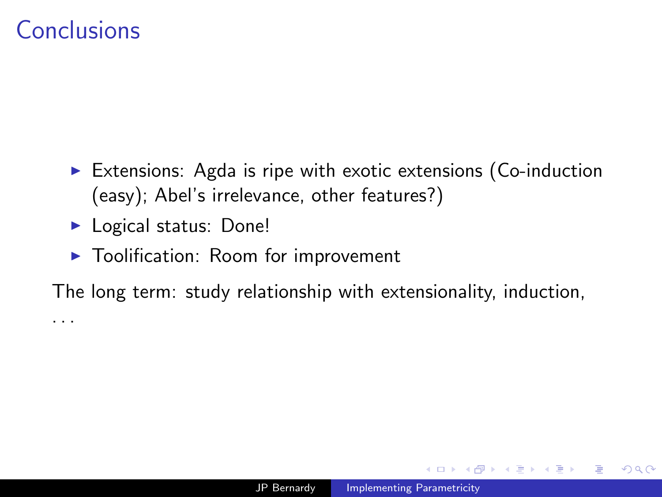#### Conclusions

. . .

- $\triangleright$  Extensions: Agda is ripe with exotic extensions (Co-induction (easy); Abel's irrelevance, other features?)
- $\blacktriangleright$  Logical status: Done!
- $\blacktriangleright$  Toolification: Room for improvement

The long term: study relationship with extensionality, induction,